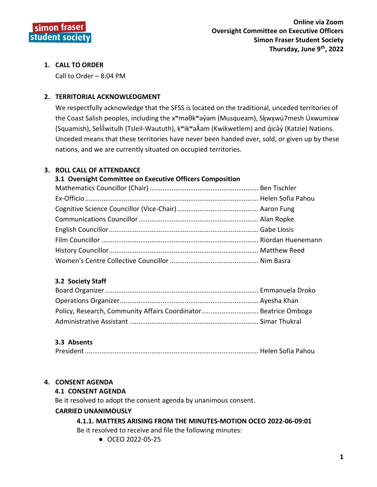

## 1. CALL TO ORDER

Call to Order - 8:04 PM

## 2. TERRITORIAL ACKNOWLEDGMENT

We respectfully acknowledge that the SFSS is located on the traditional, unceded territories of the Coast Salish peoples, including the x<sup>w</sup>maθk<sup>w</sup>ayam (Musqueam), Skwχwú7mesh Úxwumixw (Squamish), Selílwitulh (Tsleil-Waututh), k<sup>w</sup>ik<sup>w</sup>a $\vec{\lambda}$ am (Kwikwetlem) and qicay (Katzie) Nations. Unceded means that these territories have never been handed over, sold, or given up by these nations, and we are currently situated on occupied territories.

### 3. ROLL CALL OF ATTENDANCE

### 3.1 Oversight Committee on Executive Officers Composition

### 3.2 Society Staff

| Policy, Research, Community Affairs Coordinator Beatrice Omboga |  |
|-----------------------------------------------------------------|--|
|                                                                 |  |

### 3.3 Absents

|--|--|--|

### **4. CONSENT AGENDA**

### **4.1 CONSENT AGENDA**

Be it resolved to adopt the consent agenda by unanimous consent.

### **CARRIED UNANIMOUSLY**

#### 4.1.1. MATTERS ARISING FROM THE MINUTES-MOTION OCEO 2022-06-09:01 Be it resolved to receive and file the following minutes:

● OCEO 2022-05-25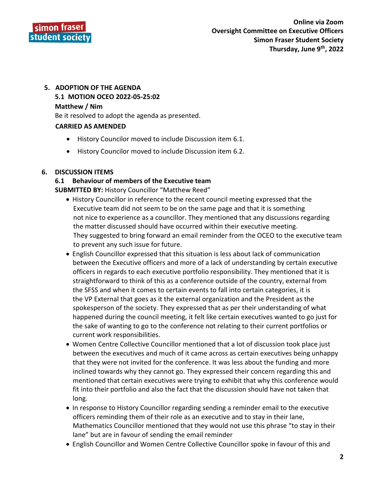

# **5. ADOPTION OF THE AGENDA 5.1 MOTION OCEO 2022-05-25:02 Matthew / Nim**

Be it resolved to adopt the agenda as presented.

## **CARRIED AS AMENDED**

- History Councilor moved to include Discussion item 6.1.
- History Councilor moved to include Discussion item 6.2.

## **6. DISCUSSION ITEMS**

# **6.1 Behaviour of members of the Executive team**

**SUBMITTED BY:** History Councillor "Matthew Reed"

- History Councillor in reference to the recent council meeting expressed that the Executive team did not seem to be on the same page and that it is something not nice to experience as a councillor. They mentioned that any discussions regarding the matter discussed should have occurred within their executive meeting. They suggested to bring forward an email reminder from the OCEO to the executive team to prevent any such issue for future.
- English Councillor expressed that this situation is less about lack of communication between the Executive officers and more of a lack of understanding by certain executive officers in regards to each executive portfolio responsibility. They mentioned that it is straightforward to think of this as a conference outside of the country, external from the SFSS and when it comes to certain events to fall into certain categories, it is the VP External that goes as it the external organization and the President as the spokesperson of the society. They expressed that as per their understanding of what happened during the council meeting, it felt like certain executives wanted to go just for the sake of wanting to go to the conference not relating to their current portfolios or current work responsibilities.
- Women Centre Collective Councillor mentioned that a lot of discussion took place just between the executives and much of it came across as certain executives being unhappy that they were not invited for the conference. It was less about the funding and more inclined towards why they cannot go. They expressed their concern regarding this and mentioned that certain executives were trying to exhibit that why this conference would fit into their portfolio and also the fact that the discussion should have not taken that long.
- In response to History Councillor regarding sending a reminder email to the executive officers reminding them of their role as an executive and to stay in their lane, Mathematics Councillor mentioned that they would not use this phrase "to stay in their lane" but are in favour of sending the email reminder
- English Councillor and Women Centre Collective Councillor spoke in favour of this and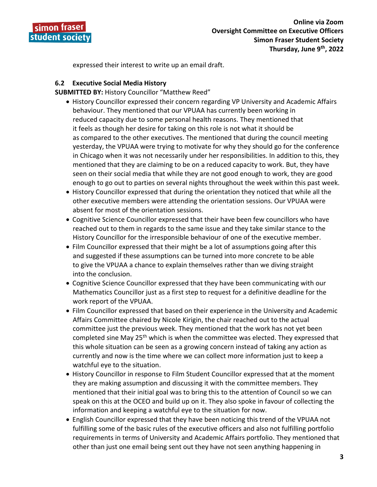

expressed their interest to write up an email draft.

## **6.2 Executive Social Media History**

**SUBMITTED BY:** History Councillor "Matthew Reed"

- History Councillor expressed their concern regarding VP University and Academic Affairs behaviour. They mentioned that our VPUAA has currently been working in reduced capacity due to some personal health reasons. They mentioned that it feels as though her desire for taking on this role is not what it should be as compared to the other executives. The mentioned that during the council meeting yesterday, the VPUAA were trying to motivate for why they should go for the conference in Chicago when it was not necessarily under her responsibilities. In addition to this, they mentioned that they are claiming to be on a reduced capacity to work. But, they have seen on their social media that while they are not good enough to work, they are good enough to go out to parties on several nights throughout the week within this past week.
- History Councillor expressed that during the orientation they noticed that while all the other executive members were attending the orientation sessions. Our VPUAA were absent for most of the orientation sessions.
- Cognitive Science Councillor expressed that their have been few councillors who have reached out to them in regards to the same issue and they take similar stance to the History Councillor for the irresponsible behaviour of one of the executive member.
- Film Councillor expressed that their might be a lot of assumptions going after this and suggested if these assumptions can be turned into more concrete to be able to give the VPUAA a chance to explain themselves rather than we diving straight into the conclusion.
- Cognitive Science Councillor expressed that they have been communicating with our Mathematics Councillor just as a first step to request for a definitive deadline for the work report of the VPUAA.
- Film Councillor expressed that based on their experience in the University and Academic Affairs Committee chaired by Nicole Kirigin, the chair reached out to the actual committee just the previous week. They mentioned that the work has not yet been completed sine May 25<sup>th</sup> which is when the committee was elected. They expressed that this whole situation can be seen as a growing concern instead of taking any action as currently and now is the time where we can collect more information just to keep a watchful eye to the situation.
- History Councillor in response to Film Student Councillor expressed that at the moment they are making assumption and discussing it with the committee members. They mentioned that their initial goal was to bring this to the attention of Council so we can speak on this at the OCEO and build up on it. They also spoke in favour of collecting the information and keeping a watchful eye to the situation for now.
- English Councillor expressed that they have been noticing this trend of the VPUAA not fulfilling some of the basic rules of the executive officers and also not fulfilling portfolio requirements in terms of University and Academic Affairs portfolio. They mentioned that other than just one email being sent out they have not seen anything happening in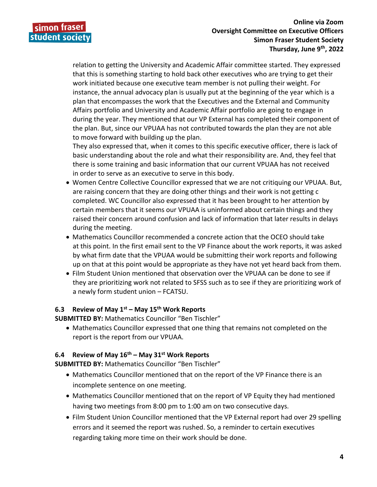

 relation to getting the University and Academic Affair committee started. They expressed that this is something starting to hold back other executives who are trying to get their work initiated because one executive team member is not pulling their weight. For instance, the annual advocacy plan is usually put at the beginning of the year which is a plan that encompasses the work that the Executives and the External and Community Affairs portfolio and University and Academic Affair portfolio are going to engage in during the year. They mentioned that our VP External has completed their component of the plan. But, since our VPUAA has not contributed towards the plan they are not able to move forward with building up the plan.

 They also expressed that, when it comes to this specific executive officer, there is lack of basic understanding about the role and what their responsibility are. And, they feel that there is some training and basic information that our current VPUAA has not received in order to serve as an executive to serve in this body.

- Women Centre Collective Councillor expressed that we are not critiquing our VPUAA. But, are raising concern that they are doing other things and their work is not getting c completed. WC Councillor also expressed that it has been brought to her attention by certain members that it seems our VPUAA is uninformed about certain things and they raised their concern around confusion and lack of information that later results in delays during the meeting.
- Mathematics Councillor recommended a concrete action that the OCEO should take at this point. In the first email sent to the VP Finance about the work reports, it was asked by what firm date that the VPUAA would be submitting their work reports and following up on that at this point would be appropriate as they have not yet heard back from them.
- Film Student Union mentioned that observation over the VPUAA can be done to see if they are prioritizing work not related to SFSS such as to see if they are prioritizing work of a newly form student union – FCATSU.

## **6.3 Review of May 1st – May 15th Work Reports**

**SUBMITTED BY:** Mathematics Councillor "Ben Tischler"

 Mathematics Councillor expressed that one thing that remains not completed on the report is the report from our VPUAA.

## **6.4 Review of May 16th – May 31st Work Reports**

**SUBMITTED BY:** Mathematics Councillor "Ben Tischler"

- Mathematics Councillor mentioned that on the report of the VP Finance there is an incomplete sentence on one meeting.
- Mathematics Councillor mentioned that on the report of VP Equity they had mentioned having two meetings from 8:00 pm to 1:00 am on two consecutive days.
- Film Student Union Councillor mentioned that the VP External report had over 29 spelling errors and it seemed the report was rushed. So, a reminder to certain executives regarding taking more time on their work should be done.